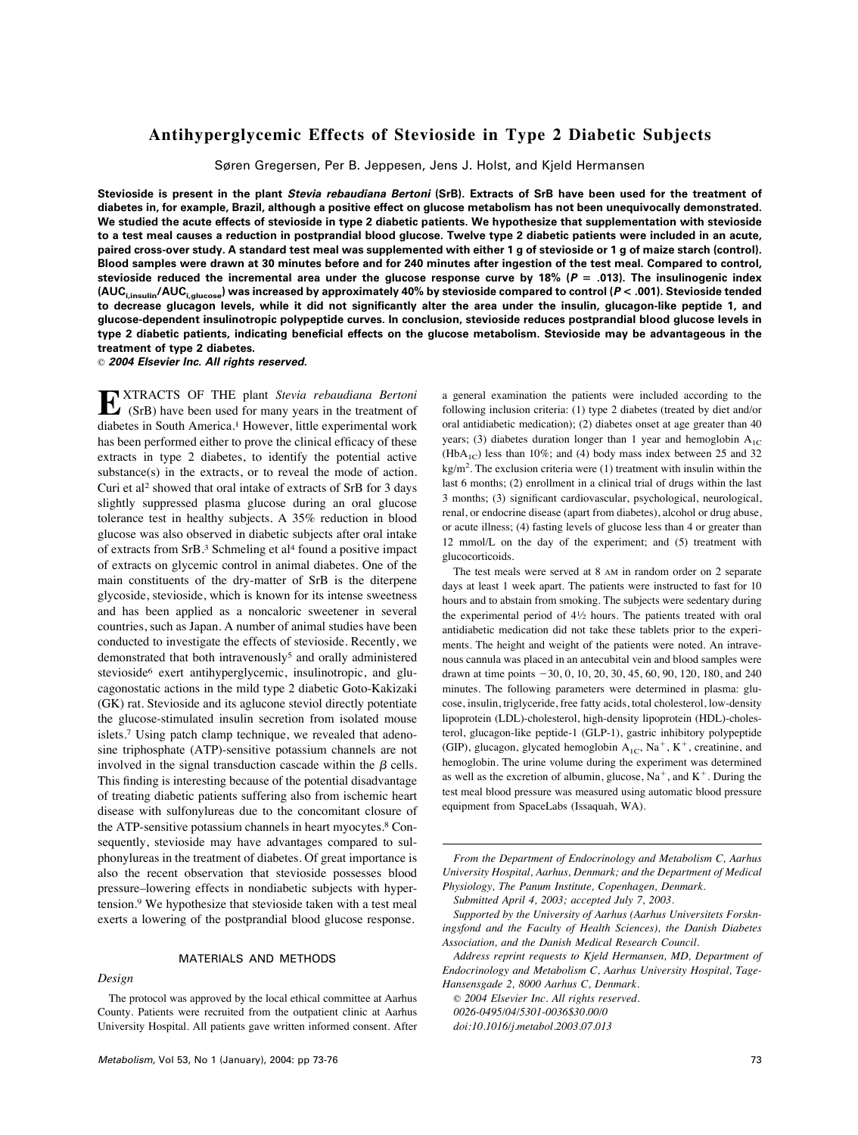# **Antihyperglycemic Effects of Stevioside in Type 2 Diabetic Subjects**

Søren Gregersen, Per B. Jeppesen, Jens J. Holst, and Kjeld Hermansen

**Stevioside is present in the plant Stevia rebaudiana Bertoni (SrB). Extracts of SrB have been used for the treatment of diabetes in, for example, Brazil, although a positive effect on glucose metabolism has not been unequivocally demonstrated. We studied the acute effects of stevioside in type 2 diabetic patients. We hypothesize that supplementation with stevioside to a test meal causes a reduction in postprandial blood glucose. Twelve type 2 diabetic patients were included in an acute, paired cross-over study. A standard test meal was supplemented with either 1 g of stevioside or 1 g of maize starch (control). Blood samples were drawn at 30 minutes before and for 240 minutes after ingestion of the test meal. Compared to control, stevioside reduced the incremental area under the glucose response curve by 18% (P** ! **.013). The insulinogenic index (AUCi,insulin/AUCi,glucose) was increased by approximately 40% by stevioside compared to control (P < .001). Stevioside tended to decrease glucagon levels, while it did not significantly alter the area under the insulin, glucagon-like peptide 1, and glucose-dependent insulinotropic polypeptide curves. In conclusion, stevioside reduces postprandial blood glucose levels in type 2 diabetic patients, indicating beneficial effects on the glucose metabolism. Stevioside may be advantageous in the treatment of type 2 diabetes.**

© **2004 Elsevier Inc. All rights reserved.**

**EXTRACTS OF THE plant** *Stevia rebaudiana Bertoni*<br>
(SrB) have been used for many years in the treatment of diabetes in South America.1 However, little experimental work has been performed either to prove the clinical efficacy of these extracts in type 2 diabetes, to identify the potential active substance(s) in the extracts, or to reveal the mode of action. Curi et al2 showed that oral intake of extracts of SrB for 3 days slightly suppressed plasma glucose during an oral glucose tolerance test in healthy subjects. A 35% reduction in blood glucose was also observed in diabetic subjects after oral intake of extracts from SrB.3 Schmeling et al4 found a positive impact of extracts on glycemic control in animal diabetes. One of the main constituents of the dry-matter of SrB is the diterpene glycoside, stevioside, which is known for its intense sweetness and has been applied as a noncaloric sweetener in several countries, such as Japan. A number of animal studies have been conducted to investigate the effects of stevioside. Recently, we demonstrated that both intravenously<sup>5</sup> and orally administered stevioside<sup>6</sup> exert antihyperglycemic, insulinotropic, and glucagonostatic actions in the mild type 2 diabetic Goto-Kakizaki (GK) rat. Stevioside and its aglucone steviol directly potentiate the glucose-stimulated insulin secretion from isolated mouse islets.7 Using patch clamp technique, we revealed that adenosine triphosphate (ATP)-sensitive potassium channels are not involved in the signal transduction cascade within the  $\beta$  cells. This finding is interesting because of the potential disadvantage of treating diabetic patients suffering also from ischemic heart disease with sulfonylureas due to the concomitant closure of the ATP-sensitive potassium channels in heart myocytes.8 Consequently, stevioside may have advantages compared to sulphonylureas in the treatment of diabetes. Of great importance is also the recent observation that stevioside possesses blood pressure–lowering effects in nondiabetic subjects with hypertension.9 We hypothesize that stevioside taken with a test meal exerts a lowering of the postprandial blood glucose response.

# MATERIALS AND METHODS

# *Design*

a general examination the patients were included according to the following inclusion criteria: (1) type 2 diabetes (treated by diet and/or oral antidiabetic medication); (2) diabetes onset at age greater than 40 years; (3) diabetes duration longer than 1 year and hemoglobin  $A_{1C}$  $(HbA_{1C})$  less than 10%; and (4) body mass index between 25 and 32  $kg/m<sup>2</sup>$ . The exclusion criteria were (1) treatment with insulin within the last 6 months; (2) enrollment in a clinical trial of drugs within the last 3 months; (3) significant cardiovascular, psychological, neurological, renal, or endocrine disease (apart from diabetes), alcohol or drug abuse, or acute illness; (4) fasting levels of glucose less than 4 or greater than 12 mmol/L on the day of the experiment; and (5) treatment with glucocorticoids.

The test meals were served at 8 AM in random order on 2 separate days at least 1 week apart. The patients were instructed to fast for 10 hours and to abstain from smoking. The subjects were sedentary during the experimental period of 41⁄2 hours. The patients treated with oral antidiabetic medication did not take these tablets prior to the experiments. The height and weight of the patients were noted. An intravenous cannula was placed in an antecubital vein and blood samples were drawn at time points  $-30$ , 0, 10, 20, 30, 45, 60, 90, 120, 180, and 240 minutes. The following parameters were determined in plasma: glucose, insulin, triglyceride, free fatty acids, total cholesterol, low-density lipoprotein (LDL)-cholesterol, high-density lipoprotein (HDL)-cholesterol, glucagon-like peptide-1 (GLP-1), gastric inhibitory polypeptide (GIP), glucagon, glycated hemoglobin  $A_{1C}$ , Na<sup>+</sup>, K<sup>+</sup>, creatinine, and hemoglobin. The urine volume during the experiment was determined as well as the excretion of albumin, glucose,  $Na^+$ , and  $K^+$ . During the test meal blood pressure was measured using automatic blood pressure equipment from SpaceLabs (Issaquah, WA).

*From the Department of Endocrinology and Metabolism C, Aarhus University Hospital, Aarhus, Denmark; and the Department of Medical Physiology, The Panum Institute, Copenhagen, Denmark.*

*Submitted April 4, 2003; accepted July 7, 2003.*

*Supported by the University of Aarhus (Aarhus Universitets Forskningsfond and the Faculty of Health Sciences), the Danish Diabetes Association, and the Danish Medical Research Council.*

*Address reprint requests to Kjeld Hermansen, MD, Department of Endocrinology and Metabolism C, Aarhus University Hospital, Tage-Hansensgade 2, 8000 Aarhus C, Denmark.*

© *2004 Elsevier Inc. All rights reserved. 0026-0495/04/5301-0036\$30.00/0 doi:10.1016/j.metabol.2003.07.013*

The protocol was approved by the local ethical committee at Aarhus County. Patients were recruited from the outpatient clinic at Aarhus University Hospital. All patients gave written informed consent. After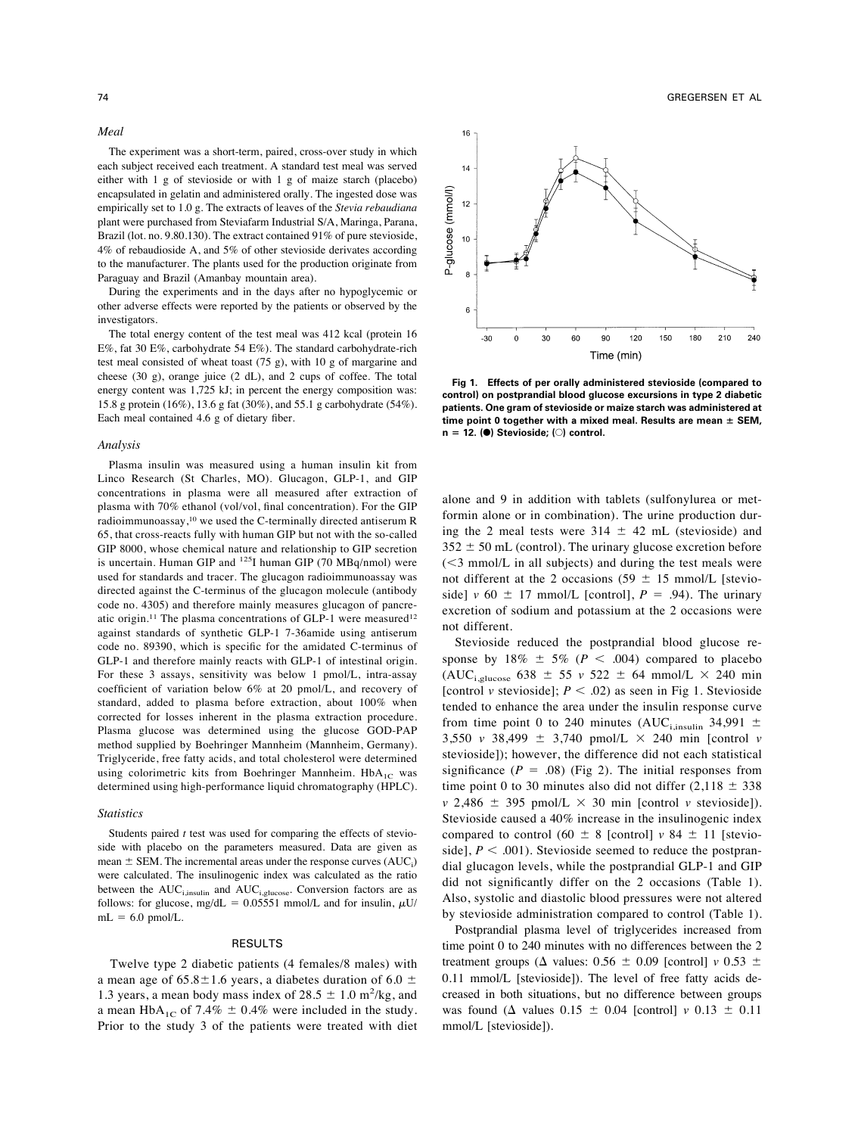*Meal*

The experiment was a short-term, paired, cross-over study in which each subject received each treatment. A standard test meal was served either with 1 g of stevioside or with 1 g of maize starch (placebo) encapsulated in gelatin and administered orally. The ingested dose was empirically set to 1.0 g. The extracts of leaves of the *Stevia rebaudiana* plant were purchased from Steviafarm Industrial S/A, Maringa, Parana, Brazil (lot. no. 9.80.130). The extract contained 91% of pure stevioside, 4% of rebaudioside A, and 5% of other stevioside derivates according to the manufacturer. The plants used for the production originate from Paraguay and Brazil (Amanbay mountain area).

During the experiments and in the days after no hypoglycemic or other adverse effects were reported by the patients or observed by the investigators.

The total energy content of the test meal was 412 kcal (protein 16 E%, fat 30 E%, carbohydrate 54 E%). The standard carbohydrate-rich test meal consisted of wheat toast (75 g), with 10 g of margarine and cheese (30 g), orange juice (2 dL), and 2 cups of coffee. The total energy content was 1,725 kJ; in percent the energy composition was: 15.8 g protein (16%), 13.6 g fat (30%), and 55.1 g carbohydrate (54%). Each meal contained 4.6 g of dietary fiber.

#### *Analysis*

Plasma insulin was measured using a human insulin kit from Linco Research (St Charles, MO). Glucagon, GLP-1, and GIP concentrations in plasma were all measured after extraction of plasma with 70% ethanol (vol/vol, final concentration). For the GIP radioimmunoassay,10 we used the C-terminally directed antiserum R 65, that cross-reacts fully with human GIP but not with the so-called GIP 8000, whose chemical nature and relationship to GIP secretion is uncertain. Human GIP and  $^{125}$ I human GIP (70 MBq/nmol) were used for standards and tracer. The glucagon radioimmunoassay was directed against the C-terminus of the glucagon molecule (antibody code no. 4305) and therefore mainly measures glucagon of pancreatic origin.<sup>11</sup> The plasma concentrations of GLP-1 were measured<sup>12</sup> against standards of synthetic GLP-1 7-36amide using antiserum code no. 89390, which is specific for the amidated C-terminus of GLP-1 and therefore mainly reacts with GLP-1 of intestinal origin. For these 3 assays, sensitivity was below 1 pmol/L, intra-assay coefficient of variation below 6% at 20 pmol/L, and recovery of standard, added to plasma before extraction, about 100% when corrected for losses inherent in the plasma extraction procedure. Plasma glucose was determined using the glucose GOD-PAP method supplied by Boehringer Mannheim (Mannheim, Germany). Triglyceride, free fatty acids, and total cholesterol were determined using colorimetric kits from Boehringer Mannheim.  $HbA_{1C}$  was determined using high-performance liquid chromatography (HPLC).

#### *Statistics*

Students paired *t* test was used for comparing the effects of stevioside with placebo on the parameters measured. Data are given as mean  $\pm$  SEM. The incremental areas under the response curves  $(AUC_i)$ were calculated. The insulinogenic index was calculated as the ratio between the  $AUC_{i,insulin}$  and  $AUC_{i,glucose}$ . Conversion factors are as follows: for glucose, mg/dL = 0.05551 mmol/L and for insulin,  $\mu$ U/  $mL = 6.0$  pmol/L.

### RESULTS

Twelve type 2 diabetic patients (4 females/8 males) with a mean age of  $65.8 \pm 1.6$  years, a diabetes duration of 6.0  $\pm$ 1.3 years, a mean body mass index of  $28.5 \pm 1.0$  m<sup>2</sup>/kg, and a mean HbA<sub>1C</sub> of 7.4%  $\pm$  0.4% were included in the study. Prior to the study 3 of the patients were treated with diet



**Fig 1. Effects of per orally administered stevioside (compared to control) on postprandial blood glucose excursions in type 2 diabetic patients. One gram of stevioside or maize starch was administered at** time point 0 together with a mixed meal. Results are mean  $\pm$  SEM. **n** ! **12. (**F**) Stevioside; (**E**) control.**

alone and 9 in addition with tablets (sulfonylurea or metformin alone or in combination). The urine production during the 2 meal tests were  $314 \pm 42$  mL (stevioside) and  $352 \pm 50$  mL (control). The urinary glucose excretion before  $(<$ 3 mmol/L in all subjects) and during the test meals were not different at the 2 occasions (59  $\pm$  15 mmol/L [stevioside]  $v$  60  $\pm$  17 mmol/L [control],  $P = .94$ ). The urinary excretion of sodium and potassium at the 2 occasions were not different.

Stevioside reduced the postprandial blood glucose response by  $18\% \pm 5\%$  ( $P < .004$ ) compared to placebo (AUC<sub>i,glucose</sub> 638  $\pm$  55 *v* 522  $\pm$  64 mmol/L  $\times$  240 min [control *v* stevioside];  $P < .02$ ) as seen in Fig 1. Stevioside tended to enhance the area under the insulin response curve from time point 0 to 240 minutes (AUC<sub>i,insulin</sub> 34,991  $\pm$ 3,550 *v* 38,499  $\pm$  3,740 pmol/L  $\times$  240 min [control *v* stevioside]); however, the difference did not each statistical significance  $(P = .08)$  (Fig 2). The initial responses from time point 0 to 30 minutes also did not differ  $(2,118 \pm 338)$  $v$  2,486  $\pm$  395 pmol/L  $\times$  30 min [control *v* stevioside]). Stevioside caused a 40% increase in the insulinogenic index compared to control (60  $\pm$  8 [control]  $v$  84  $\pm$  11 [stevioside],  $P < .001$ ). Stevioside seemed to reduce the postprandial glucagon levels, while the postprandial GLP-1 and GIP did not significantly differ on the 2 occasions (Table 1). Also, systolic and diastolic blood pressures were not altered by stevioside administration compared to control (Table 1).

Postprandial plasma level of triglycerides increased from time point 0 to 240 minutes with no differences between the 2 treatment groups ( $\Delta$  values: 0.56  $\pm$  0.09 [control] *v* 0.53  $\pm$ 0.11 mmol/L [stevioside]). The level of free fatty acids decreased in both situations, but no difference between groups was found ( $\Delta$  values 0.15  $\pm$  0.04 [control]  $\nu$  0.13  $\pm$  0.11 mmol/L [stevioside]).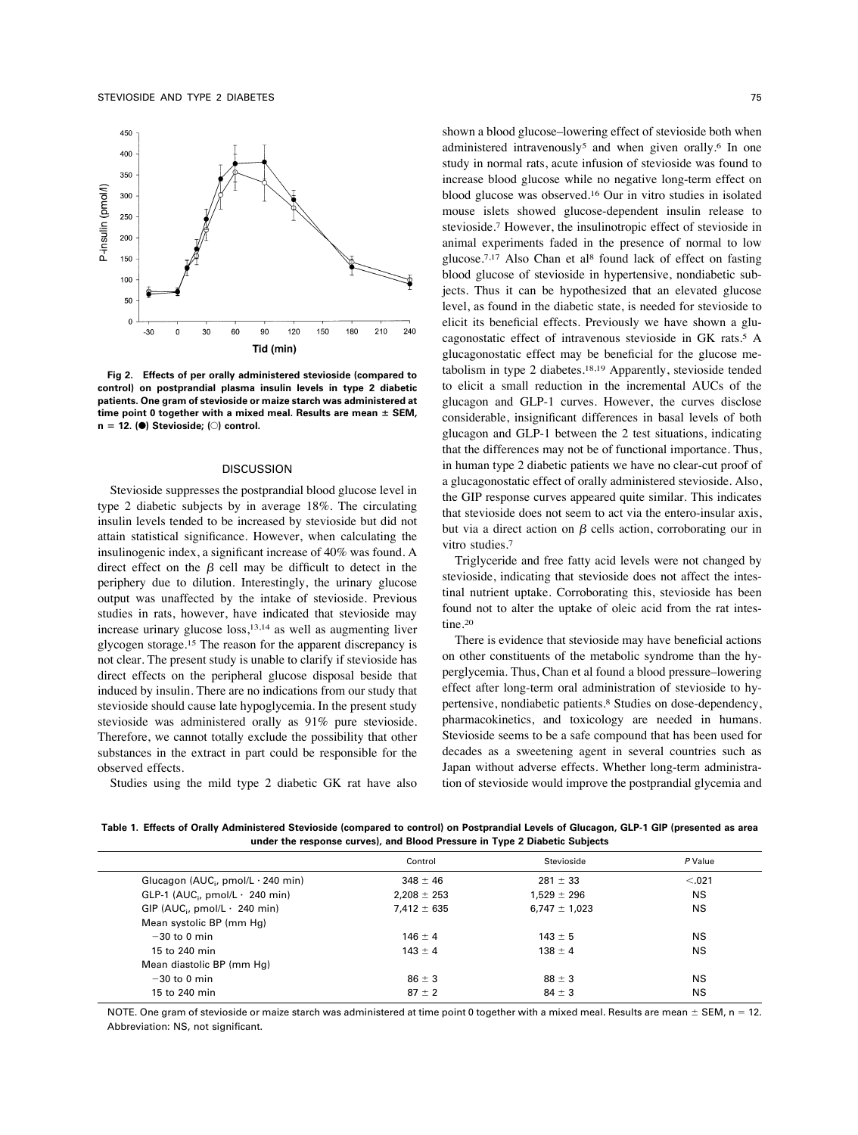

**Fig 2. Effects of per orally administered stevioside (compared to control) on postprandial plasma insulin levels in type 2 diabetic patients. One gram of stevioside or maize starch was administered at time point 0 together with a mixed meal. Results are mean**  $\pm$  **SEM, n** ! **12. (**F**) Stevioside; (**E**) control.**

## DISCUSSION

Stevioside suppresses the postprandial blood glucose level in type 2 diabetic subjects by in average 18%. The circulating insulin levels tended to be increased by stevioside but did not attain statistical significance. However, when calculating the insulinogenic index, a significant increase of 40% was found. A direct effect on the  $\beta$  cell may be difficult to detect in the periphery due to dilution. Interestingly, the urinary glucose output was unaffected by the intake of stevioside. Previous studies in rats, however, have indicated that stevioside may increase urinary glucose loss,13,14 as well as augmenting liver glycogen storage.15 The reason for the apparent discrepancy is not clear. The present study is unable to clarify if stevioside has direct effects on the peripheral glucose disposal beside that induced by insulin. There are no indications from our study that stevioside should cause late hypoglycemia. In the present study stevioside was administered orally as 91% pure stevioside. Therefore, we cannot totally exclude the possibility that other substances in the extract in part could be responsible for the observed effects.

Studies using the mild type 2 diabetic GK rat have also

shown a blood glucose–lowering effect of stevioside both when administered intravenously<sup>5</sup> and when given orally.<sup>6</sup> In one study in normal rats, acute infusion of stevioside was found to increase blood glucose while no negative long-term effect on blood glucose was observed.16 Our in vitro studies in isolated mouse islets showed glucose-dependent insulin release to stevioside.7 However, the insulinotropic effect of stevioside in animal experiments faded in the presence of normal to low glucose.<sup>7,17</sup> Also Chan et al<sup>8</sup> found lack of effect on fasting blood glucose of stevioside in hypertensive, nondiabetic subjects. Thus it can be hypothesized that an elevated glucose level, as found in the diabetic state, is needed for stevioside to elicit its beneficial effects. Previously we have shown a glucagonostatic effect of intravenous stevioside in GK rats.5 A glucagonostatic effect may be beneficial for the glucose metabolism in type 2 diabetes.<sup>18,19</sup> Apparently, stevioside tended to elicit a small reduction in the incremental AUCs of the glucagon and GLP-1 curves. However, the curves disclose considerable, insignificant differences in basal levels of both glucagon and GLP-1 between the 2 test situations, indicating that the differences may not be of functional importance. Thus, in human type 2 diabetic patients we have no clear-cut proof of a glucagonostatic effect of orally administered stevioside. Also, the GIP response curves appeared quite similar. This indicates that stevioside does not seem to act via the entero-insular axis, but via a direct action on  $\beta$  cells action, corroborating our in vitro studies.7

Triglyceride and free fatty acid levels were not changed by stevioside, indicating that stevioside does not affect the intestinal nutrient uptake. Corroborating this, stevioside has been found not to alter the uptake of oleic acid from the rat intestine.20

There is evidence that stevioside may have beneficial actions on other constituents of the metabolic syndrome than the hyperglycemia. Thus, Chan et al found a blood pressure–lowering effect after long-term oral administration of stevioside to hypertensive, nondiabetic patients.8 Studies on dose-dependency, pharmacokinetics, and toxicology are needed in humans. Stevioside seems to be a safe compound that has been used for decades as a sweetening agent in several countries such as Japan without adverse effects. Whether long-term administration of stevioside would improve the postprandial glycemia and

**Table 1. Effects of Orally Administered Stevioside (compared to control) on Postprandial Levels of Glucagon, GLP-1 GIP (presented as area under the response curves), and Blood Pressure in Type 2 Diabetic Subjects**

|                                                   | Control         | Stevioside        | P Value   |
|---------------------------------------------------|-----------------|-------------------|-----------|
| Glucagon ( $AUC_i$ , pmol/L $\cdot$ 240 min)      | $348 \pm 46$    | $281 \pm 33$      | < 0.021   |
| GLP-1 (AUC <sub>i</sub> , pmol/L $\cdot$ 240 min) | $2.208 \pm 253$ | $1.529 \pm 296$   | <b>NS</b> |
| GIP (AUC <sub>i</sub> , pmol/L $\cdot$ 240 min)   | $7.412 \pm 635$ | $6,747 \pm 1,023$ | NS.       |
| Mean systolic BP (mm Hg)                          |                 |                   |           |
| $-30$ to 0 min                                    | $146 \pm 4$     | $143 \pm 5$       | ΝS        |
| 15 to 240 min                                     | $143 \pm 4$     | $138 \pm 4$       | <b>NS</b> |
| Mean diastolic BP (mm Hg)                         |                 |                   |           |
| $-30$ to 0 min                                    | $86 \pm 3$      | $88 \pm 3$        | <b>NS</b> |
| 15 to 240 min                                     | $87 \pm 2$      | $84 \pm 3$        | ΝS        |

NOTE. One gram of stevioside or maize starch was administered at time point 0 together with a mixed meal. Results are mean  $\pm$  SEM, n = 12. Abbreviation: NS, not significant.